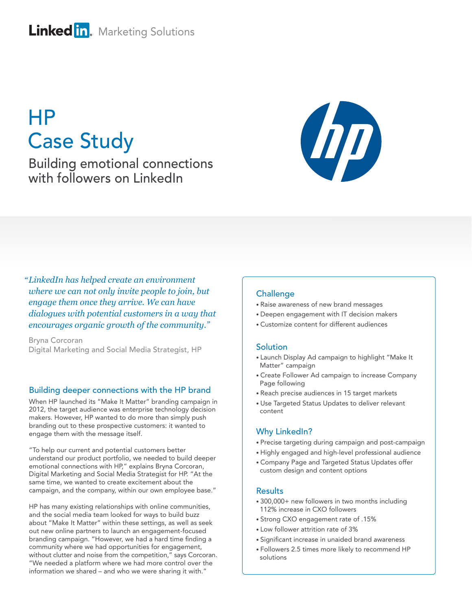# Linked in. Marketing Solutions

# HP Case Study

Building emotional connections with followers on LinkedIn



*LinkedIn has helped create an environment "where we can not only invite people to join, but engage them once they arrive. We can have dialogues with potential customers in a way that encourages organic growth of the community."*

Bryna Corcoran Digital Marketing and Social Media Strategist, HP

#### Building deeper connections with the HP brand

When HP launched its "Make It Matter" branding campaign in 2012, the target audience was enterprise technology decision makers. However, HP wanted to do more than simply push branding out to these prospective customers: it wanted to engage them with the message itself.

"To help our current and potential customers better understand our product portfolio, we needed to build deeper emotional connections with HP," explains Bryna Corcoran, Digital Marketing and Social Media Strategist for HP. "At the same time, we wanted to create excitement about the campaign, and the company, within our own employee base."

HP has many existing relationships with online communities, and the social media team looked for ways to build buzz about "Make It Matter" within these settings, as well as seek out new online partners to launch an engagement-focused branding campaign. "However, we had a hard time finding a community where we had opportunities for engagement, without clutter and noise from the competition," says Corcoran. "We needed a platform where we had more control over the information we shared – and who we were sharing it with."

#### **Challenge**

- Raise awareness of new brand messages
- Deepen engagement with IT decision makers
- Customize content for different audiences

#### **Solution**

- Launch Display Ad campaign to highlight "Make It Matter" campaign
- Create Follower Ad campaign to increase Company Page following
- Reach precise audiences in 15 target markets
- Use Targeted Status Updates to deliver relevant content

#### Why LinkedIn?

- Precise targeting during campaign and post-campaign
- Highly engaged and high-level professional audience
- Company Page and Targeted Status Updates offer custom design and content options

#### **Results**

- 300,000+ new followers in two months including 112% increase in CXO followers
- Strong CXO engagement rate of .15%
- Low follower attrition rate of 3%
- Significant increase in unaided brand awareness
- Followers 2.5 times more likely to recommend HP solutions